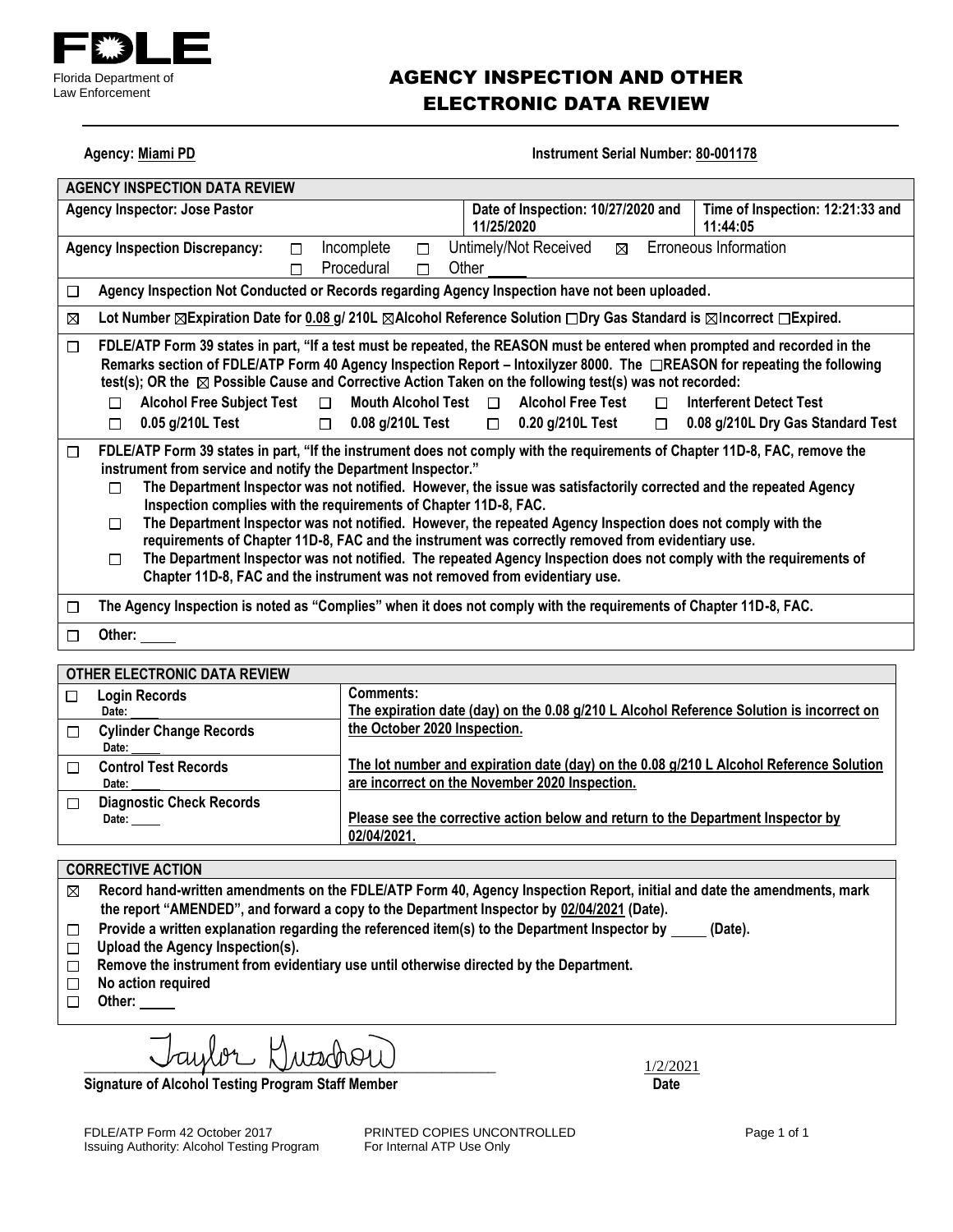

## AGENCY INSPECTION AND OTHER ELECTRONIC DATA REVIEW

| Agency. Midilii PD<br><b>INSUMMENT SENAL NUMBER OV-00 LITE</b>                                                                                                                                                                                                                                                                                                                                                                                                                                                                                                                                                                                                                                                                                                                                                                                |                                                                                                                                                                                                                                                                                                                                                                                                             |  |
|-----------------------------------------------------------------------------------------------------------------------------------------------------------------------------------------------------------------------------------------------------------------------------------------------------------------------------------------------------------------------------------------------------------------------------------------------------------------------------------------------------------------------------------------------------------------------------------------------------------------------------------------------------------------------------------------------------------------------------------------------------------------------------------------------------------------------------------------------|-------------------------------------------------------------------------------------------------------------------------------------------------------------------------------------------------------------------------------------------------------------------------------------------------------------------------------------------------------------------------------------------------------------|--|
| <b>AGENCY INSPECTION DATA REVIEW</b>                                                                                                                                                                                                                                                                                                                                                                                                                                                                                                                                                                                                                                                                                                                                                                                                          |                                                                                                                                                                                                                                                                                                                                                                                                             |  |
| <b>Agency Inspector: Jose Pastor</b>                                                                                                                                                                                                                                                                                                                                                                                                                                                                                                                                                                                                                                                                                                                                                                                                          | Date of Inspection: 10/27/2020 and<br>Time of Inspection: 12:21:33 and<br>11/25/2020<br>11:44:05                                                                                                                                                                                                                                                                                                            |  |
| Incomplete<br><b>Agency Inspection Discrepancy:</b><br>□<br>П<br>Procedural<br>П<br>П                                                                                                                                                                                                                                                                                                                                                                                                                                                                                                                                                                                                                                                                                                                                                         | Erroneous Information<br>Untimely/Not Received<br>⊠<br>Other                                                                                                                                                                                                                                                                                                                                                |  |
| Agency Inspection Not Conducted or Records regarding Agency Inspection have not been uploaded.<br>$\Box$                                                                                                                                                                                                                                                                                                                                                                                                                                                                                                                                                                                                                                                                                                                                      |                                                                                                                                                                                                                                                                                                                                                                                                             |  |
| $\boxtimes$                                                                                                                                                                                                                                                                                                                                                                                                                                                                                                                                                                                                                                                                                                                                                                                                                                   | Lot Number ⊠Expiration Date for 0.08 g/ 210L ⊠Alcohol Reference Solution □Dry Gas Standard is ⊠Incorrect □Expired.                                                                                                                                                                                                                                                                                          |  |
| $\Box$<br>test(s); OR the $\boxtimes$ Possible Cause and Corrective Action Taken on the following test(s) was not recorded:<br>Mouth Alcohol Test $\Box$<br><b>Alcohol Free Subject Test</b><br>$\Box$<br>П<br>0.05 g/210L Test<br>0.08 g/210L Test<br>$\Box$<br>П                                                                                                                                                                                                                                                                                                                                                                                                                                                                                                                                                                            | FDLE/ATP Form 39 states in part, "If a test must be repeated, the REASON must be entered when prompted and recorded in the<br>Remarks section of FDLE/ATP Form 40 Agency Inspection Report – Intoxilyzer 8000. The □REASON for repeating the following<br><b>Alcohol Free Test</b><br><b>Interferent Detect Test</b><br>$\Box$<br>0.20 g/210L Test<br>0.08 g/210L Dry Gas Standard Test<br>$\Box$<br>$\Box$ |  |
| FDLE/ATP Form 39 states in part, "If the instrument does not comply with the requirements of Chapter 11D-8, FAC, remove the<br>$\Box$<br>instrument from service and notify the Department Inspector."<br>The Department Inspector was not notified. However, the issue was satisfactorily corrected and the repeated Agency<br>П<br>Inspection complies with the requirements of Chapter 11D-8, FAC.<br>The Department Inspector was not notified. However, the repeated Agency Inspection does not comply with the<br>П<br>requirements of Chapter 11D-8, FAC and the instrument was correctly removed from evidentiary use.<br>The Department Inspector was not notified. The repeated Agency Inspection does not comply with the requirements of<br>$\Box$<br>Chapter 11D-8, FAC and the instrument was not removed from evidentiary use. |                                                                                                                                                                                                                                                                                                                                                                                                             |  |
| The Agency Inspection is noted as "Complies" when it does not comply with the requirements of Chapter 11D-8, FAC.<br>□                                                                                                                                                                                                                                                                                                                                                                                                                                                                                                                                                                                                                                                                                                                        |                                                                                                                                                                                                                                                                                                                                                                                                             |  |
| Other:<br>П                                                                                                                                                                                                                                                                                                                                                                                                                                                                                                                                                                                                                                                                                                                                                                                                                                   |                                                                                                                                                                                                                                                                                                                                                                                                             |  |

**Agency: Miami PD Instrument Serial Number: 80-001178** 

|        | <b>OTHER ELECTRONIC DATA REVIEW</b>      |                                                                                                                                           |
|--------|------------------------------------------|-------------------------------------------------------------------------------------------------------------------------------------------|
| □      | <b>Login Records</b>                     | Comments:                                                                                                                                 |
|        | Date:                                    | The expiration date (day) on the 0.08 g/210 L Alcohol Reference Solution is incorrect on                                                  |
| $\Box$ | <b>Cylinder Change Records</b><br>Date:  | the October 2020 Inspection.                                                                                                              |
|        | <b>Control Test Records</b><br>Date: ___ | The lot number and expiration date (day) on the 0.08 g/210 L Alcohol Reference Solution<br>are incorrect on the November 2020 Inspection. |
| $\Box$ | <b>Diagnostic Check Records</b><br>Date: | Please see the corrective action below and return to the Department Inspector by<br>02/04/2021.                                           |

#### **CORRECTIVE ACTION**

**Record hand-written amendments on the FDLE/ATP Form 40, Agency Inspection Report, initial and date the amendments, mark**   $\boxtimes$ **the report "AMENDED", and forward a copy to the Department Inspector by 02/04/2021 (Date).**

- Provide a written explanation regarding the referenced item(s) to the Department Inspector by \_\_\_\_\_(Date).  $\Box$
- **Upload the Agency Inspection(s).**
- **Remove the instrument from evidentiary use until otherwise directed by the Department.**
- **No action required**
- **Other:**

 $\bigcup \text{div} \cup \bigcup \text{div} \cup \bigcup$ 

**Signature of Alcohol Testing Program Staff Member Date** 

Issuing Authority: Alcohol Testing Program

FDLE/ATP Form 42 October 2017 **PRINTED COPIES UNCONTROLLED** Page 1 of 1<br>
Issuing Authority: Alcohol Testing Program For Internal ATP Use Only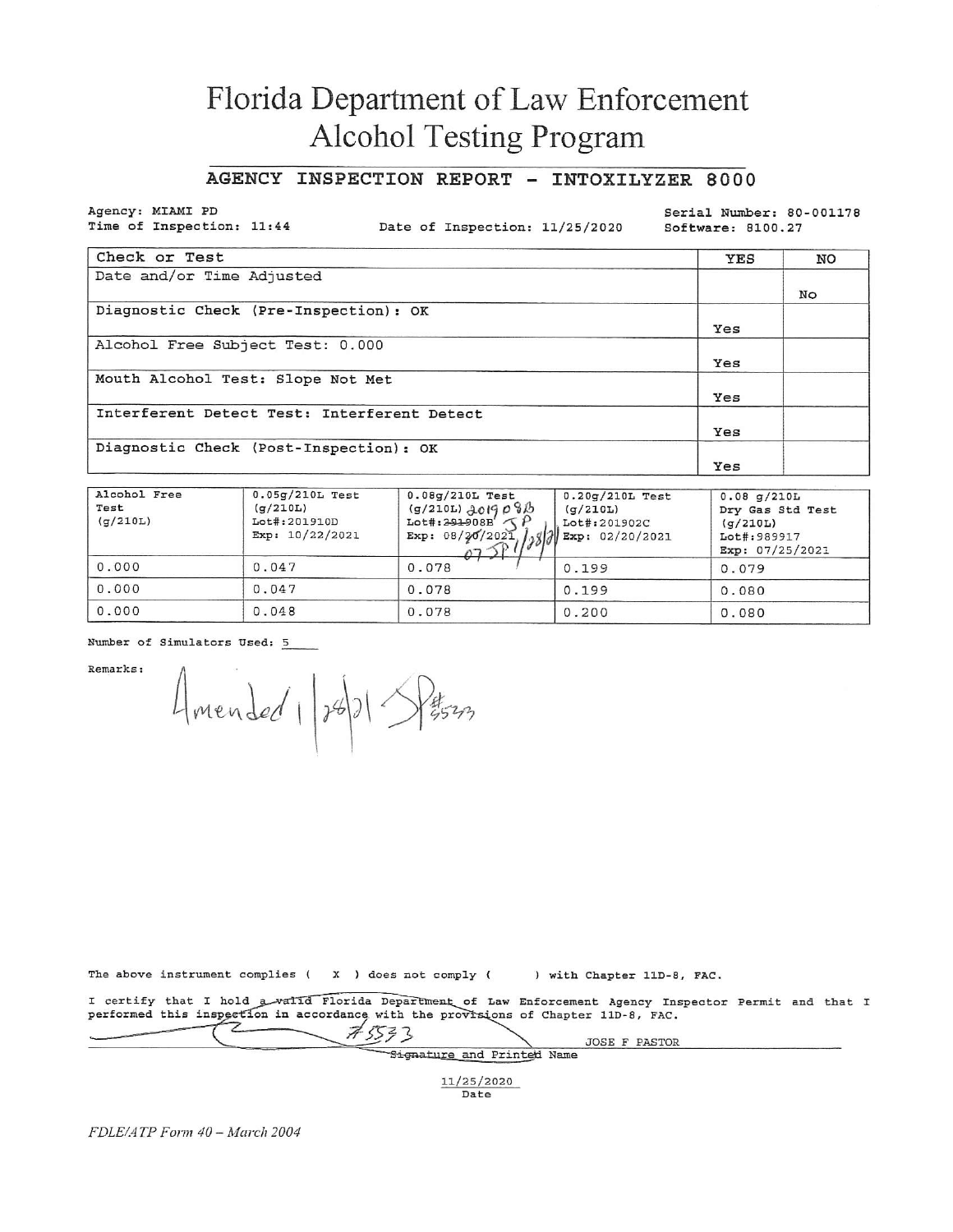# Florida Department of Law Enforcement Alcohol Testing Program

#### AGENCY INSPECTION REPORT - INTOXILYZER 8000

Agency: MIAMI PD Time of Inspection: 11:44

Date of Inspection: 11/25/2020

Serial Number: 80-001178 Software: 8100.27

| Check or Test                               | YES | NO |
|---------------------------------------------|-----|----|
| Date and/or Time Adjusted                   |     |    |
|                                             |     | No |
| Diagnostic Check (Pre-Inspection): OK       |     |    |
|                                             | Yes |    |
| Alcohol Free Subject Test: 0.000            |     |    |
|                                             | Yes |    |
| Mouth Alcohol Test: Slope Not Met           |     |    |
|                                             | Yes |    |
| Interferent Detect Test: Interferent Detect |     |    |
|                                             | Yes |    |
| Diagnostic Check (Post-Inspection): OK      |     |    |
|                                             | Yes |    |

| Alcohol Free<br>Test<br>(q/210L) | $0.05q/210L$ Test<br>(q/210L)<br>Lot#:201910D<br>Exp: 10/22/2021 | $0.08g/210L$ Test<br>$(9/210L)$ 2019 0815<br>$Lot#:391908B'$ (<br>Exp: 08/20/2021 | $0.20q/210L$ Test<br>(q/210L)<br>Lot#:201902C<br>Exp: 02/20/2021 | $0.08$ q/210L<br>Dry Gas Std Test<br>(q/210L)<br>Lot#:989917<br>Exp: 07/25/2021 |
|----------------------------------|------------------------------------------------------------------|-----------------------------------------------------------------------------------|------------------------------------------------------------------|---------------------------------------------------------------------------------|
| 0.000                            | 0.047                                                            | 0.078                                                                             | 0.199                                                            | 0.079                                                                           |
| 0.000                            | 0.047                                                            | 0.078                                                                             | 0.199                                                            | 0.080                                                                           |
| 0.000                            | 0.048                                                            | 0.078                                                                             | 0.200                                                            | 0.080                                                                           |

Number of Simulators Used: 5

Remarks:

Amended 1/28/21 SP#523

The above instrument complies ( $X$ ) does not comply ( ) with Chapter 11D-8, FAC.

I certify that I hold a valid Florida Department of Law Enforcement Agency Inspector Permit and that I performed this inspection in accordance with the provisions of Chapter 11D-8, FAC.

 $75533$ JOSE F PASTOR Signature and Printed Name 11/25/2020

Date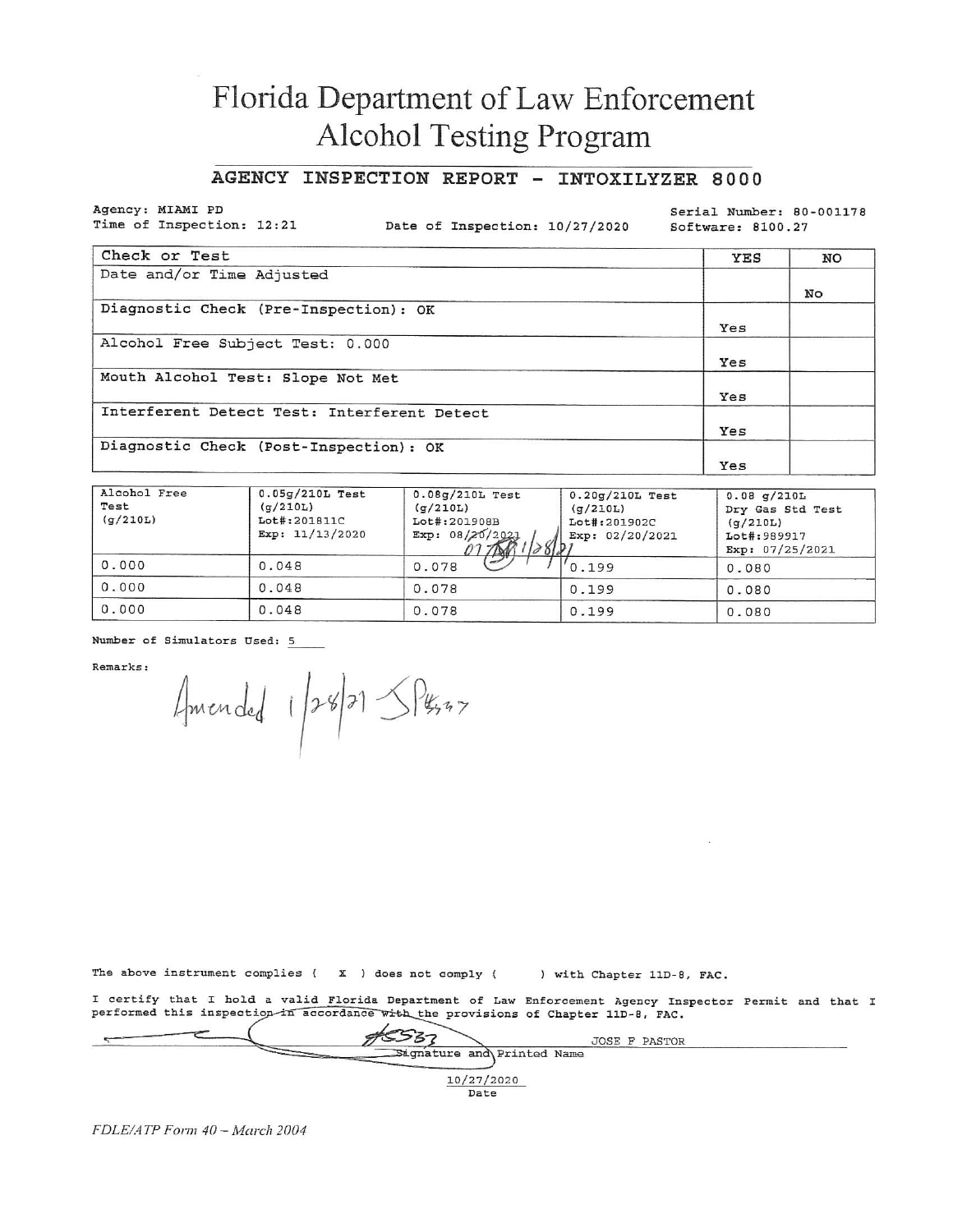# Florida Department of Law Enforcement Alcohol Testing Program

### AGENCY INSPECTION REPORT - INTOXILYZER 8000

Agency: MIAMI PD Time of Inspection: 12:21

Date of Inspection: 10/27/2020

Serial Number: 80-001178 Software: 8100.27

| Check or Test                               | YES | NO |
|---------------------------------------------|-----|----|
| Date and/or Time Adjusted                   |     |    |
|                                             |     | No |
| Diagnostic Check (Pre-Inspection): OK       |     |    |
|                                             | Yes |    |
| Alcohol Free Subject Test: 0.000            |     |    |
|                                             | Yes |    |
| Mouth Alcohol Test: Slope Not Met           |     |    |
|                                             | Yes |    |
| Interferent Detect Test: Interferent Detect |     |    |
|                                             | Yes |    |
| Diagnostic Check (Post-Inspection): OK      |     |    |
|                                             | Yes |    |

| Alcohol Free<br>Test<br>(q/210L) | $0.05q/210L$ Test<br>(q/210L)<br>Lot#:201811C<br>Exp: $11/13/2020$ | $0.08q/210L$ Test<br>(q/210L)<br>Lot#:201908B<br>Exp: $08/20/2021$<br>382<br>7 DAV | $0.20g/210L$ Test<br>(g/210L)<br>Lot#:201902C<br>Exp: 02/20/2021 | $0.08$ q/210L<br>Dry Gas Std Test<br>(q/210L)<br>Lot#:989917<br>Exp: $07/25/2021$ |
|----------------------------------|--------------------------------------------------------------------|------------------------------------------------------------------------------------|------------------------------------------------------------------|-----------------------------------------------------------------------------------|
| 0.000                            | 0.048                                                              | D<br>0.078                                                                         | '0.199                                                           | 0.080                                                                             |
| 0.000                            | 0.048                                                              | 0.078                                                                              | 0.199                                                            | 0.080                                                                             |
| 0.000                            | 0.048                                                              | 0.078                                                                              | 0.199                                                            | 0.080                                                                             |

Number of Simulators Used: 5

Remarks:

Amended 1/28/21 5 Pesso

The above instrument complies ( X ) does not comply ( ) with Chapter 11D-8, FAC.

I certify that I hold a valid Florida Department of Law Enforcement Agency Inspector Permit and that I<br>performed this inspection in accordance with the provisions of Chapter 11D-8, FAC.

|                            | <b>JOSE F PASTOR</b> |  |
|----------------------------|----------------------|--|
| Sagnature and Printed Name |                      |  |
| 10/27/2020                 |                      |  |
| Date                       |                      |  |

FDLE/ATP Form 40 - March 2004